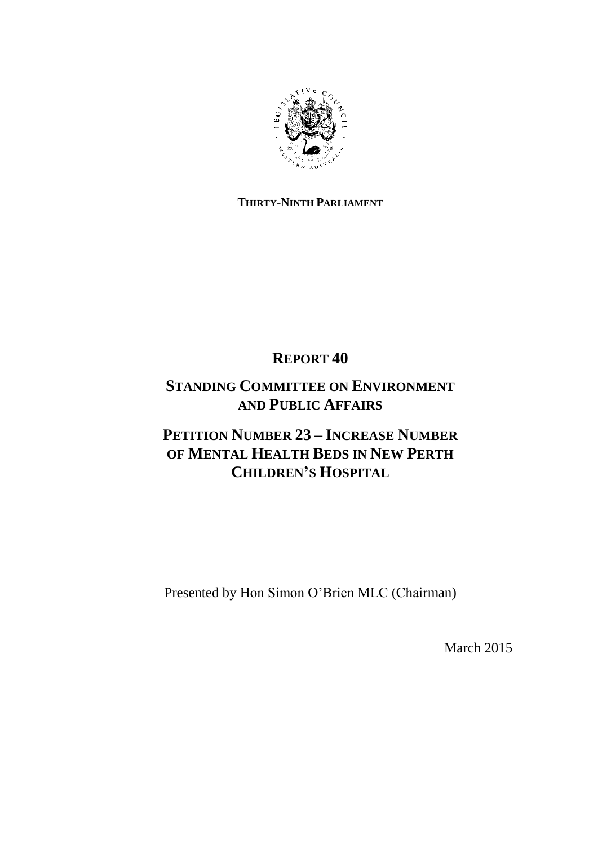

## **THIRTY-NINTH PARLIAMENT**

## **REPORT 40**

## **STANDING COMMITTEE ON ENVIRONMENT AND PUBLIC AFFAIRS**

## **PETITION NUMBER 23 – INCREASE NUMBER OF MENTAL HEALTH BEDS IN NEW PERTH CHILDREN'S HOSPITAL**

Presented by Hon Simon O"Brien MLC (Chairman)

March 2015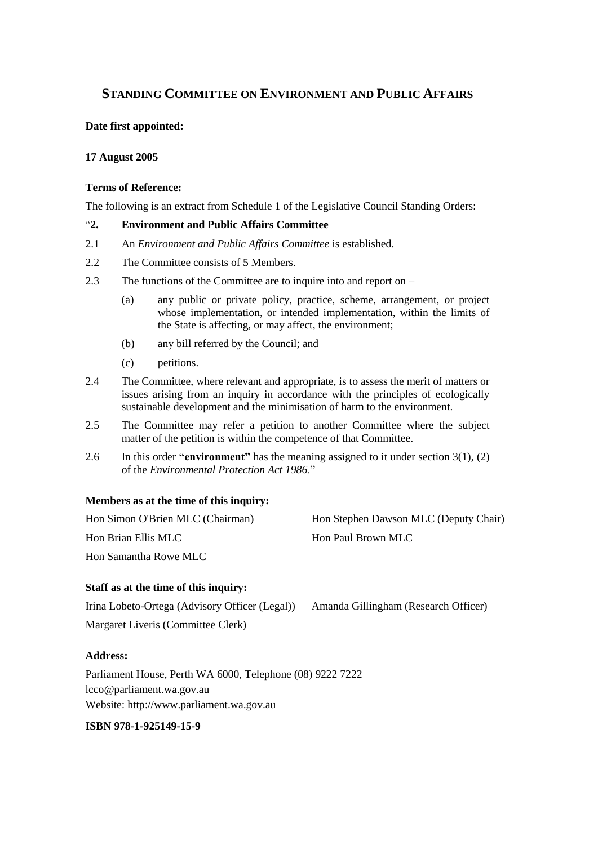## **STANDING COMMITTEE ON ENVIRONMENT AND PUBLIC AFFAIRS**

## **Date first appointed:**

### **17 August 2005**

### **Terms of Reference:**

The following is an extract from Schedule 1 of the Legislative Council Standing Orders:

## "**2. Environment and Public Affairs Committee**

- 2.1 An *Environment and Public Affairs Committee* is established.
- 2.2 The Committee consists of 5 Members.
- 2.3 The functions of the Committee are to inquire into and report on
	- (a) any public or private policy, practice, scheme, arrangement, or project whose implementation, or intended implementation, within the limits of the State is affecting, or may affect, the environment;
	- (b) any bill referred by the Council; and
	- (c) petitions.
- 2.4 The Committee, where relevant and appropriate, is to assess the merit of matters or issues arising from an inquiry in accordance with the principles of ecologically sustainable development and the minimisation of harm to the environment.
- 2.5 The Committee may refer a petition to another Committee where the subject matter of the petition is within the competence of that Committee.
- 2.6 In this order **"environment"** has the meaning assigned to it under section 3(1), (2) of the *Environmental Protection Act 1986*."

## **Members as at the time of this inquiry:**

| Hon Simon O'Brien MLC (Chairman) | Hon Stephen Dawson MLC (Deputy Chair) |
|----------------------------------|---------------------------------------|
| Hon Brian Ellis MLC              | Hon Paul Brown MLC                    |
| Hon Samantha Rowe MLC            |                                       |

## **Staff as at the time of this inquiry:**

Irina Lobeto-Ortega (Advisory Officer (Legal)) Amanda Gillingham (Research Officer) Margaret Liveris (Committee Clerk)

**Address:**

Parliament House, Perth WA 6000, Telephone (08) 9222 7222 lcco@parliament.wa.gov.au Website: http://www.parliament.wa.gov.au

#### **ISBN 978-1-925149-15-9**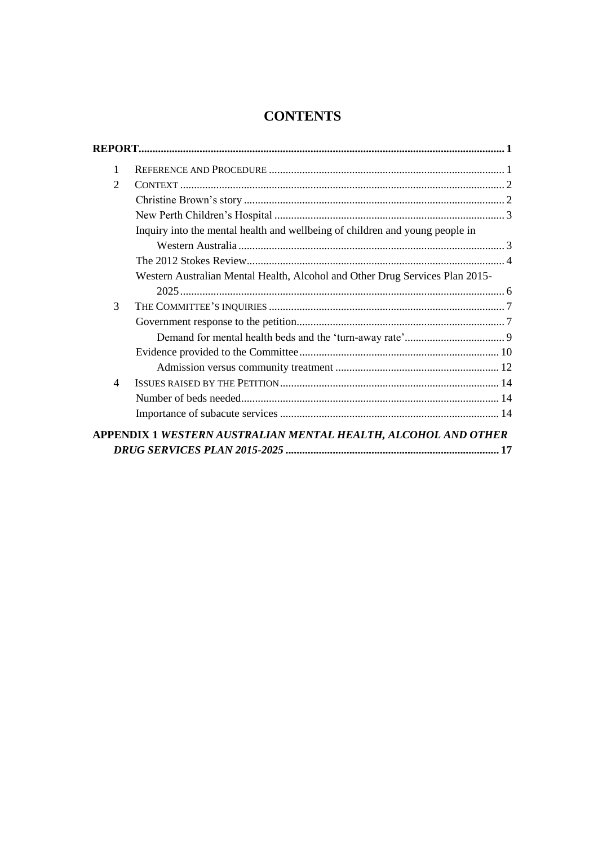## **CONTENTS**

| 1                        |                                                                              |  |
|--------------------------|------------------------------------------------------------------------------|--|
| $\overline{2}$           |                                                                              |  |
|                          |                                                                              |  |
|                          |                                                                              |  |
|                          | Inquiry into the mental health and wellbeing of children and young people in |  |
|                          |                                                                              |  |
|                          |                                                                              |  |
|                          | Western Australian Mental Health, Alcohol and Other Drug Services Plan 2015- |  |
|                          |                                                                              |  |
| 3                        |                                                                              |  |
|                          |                                                                              |  |
|                          |                                                                              |  |
|                          |                                                                              |  |
|                          |                                                                              |  |
| $\overline{\mathcal{A}}$ |                                                                              |  |
|                          |                                                                              |  |
|                          |                                                                              |  |
|                          | APPENDIX 1 WESTERN AUSTRALIAN MENTAL HEALTH, ALCOHOL AND OTHER               |  |
|                          |                                                                              |  |
|                          |                                                                              |  |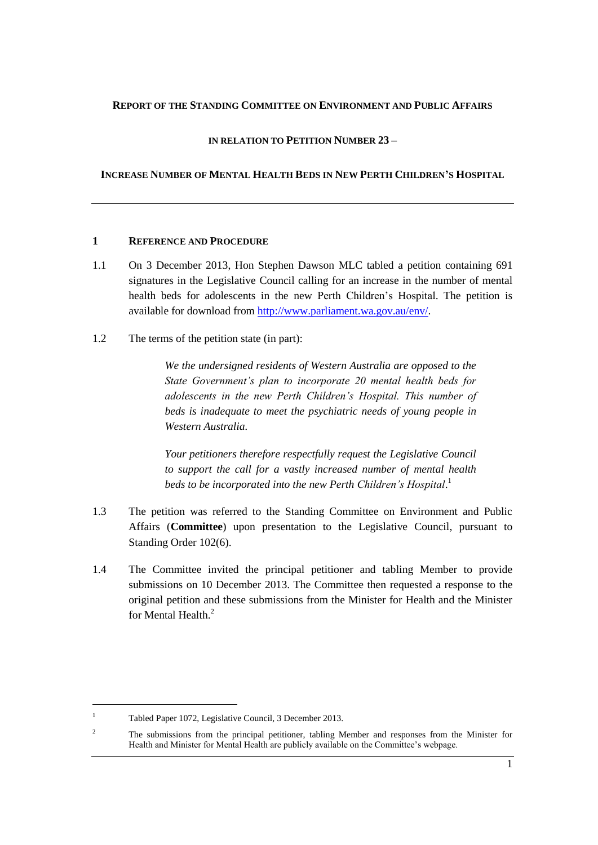### <span id="page-4-0"></span>**REPORT OF THE STANDING COMMITTEE ON ENVIRONMENT AND PUBLIC AFFAIRS**

## **IN RELATION TO PETITION NUMBER 23 –**

## **INCREASE NUMBER OF MENTAL HEALTH BEDS IN NEW PERTH CHILDREN'S HOSPITAL**

### <span id="page-4-1"></span>**1 REFERENCE AND PROCEDURE**

- 1.1 On 3 December 2013, Hon Stephen Dawson MLC tabled a petition containing 691 signatures in the Legislative Council calling for an increase in the number of mental health beds for adolescents in the new Perth Children"s Hospital. The petition is available for download from [http://www.parliament.wa.gov.au/env/.](http://www.parliament.wa.gov.au/env/)
- 1.2 The terms of the petition state (in part):

*We the undersigned residents of Western Australia are opposed to the State Government's plan to incorporate 20 mental health beds for adolescents in the new Perth Children's Hospital. This number of beds is inadequate to meet the psychiatric needs of young people in Western Australia.*

*Your petitioners therefore respectfully request the Legislative Council to support the call for a vastly increased number of mental health beds to be incorporated into the new Perth Children's Hospital*. 1

- 1.3 The petition was referred to the Standing Committee on Environment and Public Affairs (**Committee**) upon presentation to the Legislative Council, pursuant to Standing Order 102(6).
- 1.4 The Committee invited the principal petitioner and tabling Member to provide submissions on 10 December 2013. The Committee then requested a response to the original petition and these submissions from the Minister for Health and the Minister for Mental Health $^2$

<sup>1</sup> Tabled Paper 1072, Legislative Council, 3 December 2013.

<sup>&</sup>lt;sup>2</sup> The submissions from the principal petitioner, tabling Member and responses from the Minister for Health and Minister for Mental Health are publicly available on the Committee's webpage.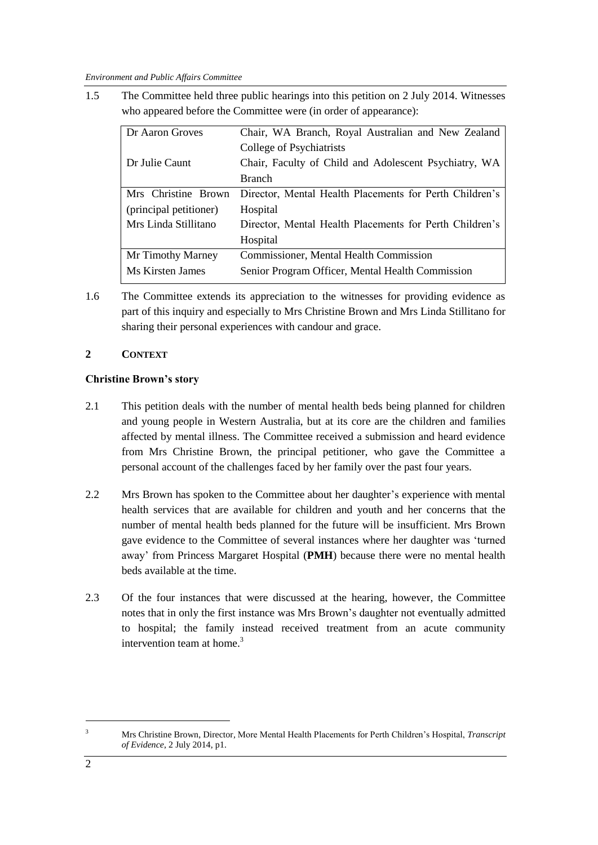1.5 The Committee held three public hearings into this petition on 2 July 2014. Witnesses who appeared before the Committee were (in order of appearance):

| Dr Aaron Groves        | Chair, WA Branch, Royal Australian and New Zealand      |
|------------------------|---------------------------------------------------------|
|                        | College of Psychiatrists                                |
| Dr Julie Caunt         | Chair, Faculty of Child and Adolescent Psychiatry, WA   |
|                        | <b>Branch</b>                                           |
| Mrs Christine Brown    | Director, Mental Health Placements for Perth Children's |
| (principal petitioner) | Hospital                                                |
| Mrs Linda Stillitano   | Director, Mental Health Placements for Perth Children's |
|                        | Hospital                                                |
| Mr Timothy Marney      | Commissioner, Mental Health Commission                  |
| Ms Kirsten James       | Senior Program Officer, Mental Health Commission        |

1.6 The Committee extends its appreciation to the witnesses for providing evidence as part of this inquiry and especially to Mrs Christine Brown and Mrs Linda Stillitano for sharing their personal experiences with candour and grace.

## <span id="page-5-0"></span>**2 CONTEXT**

## <span id="page-5-1"></span>**Christine Brown's story**

- 2.1 This petition deals with the number of mental health beds being planned for children and young people in Western Australia, but at its core are the children and families affected by mental illness. The Committee received a submission and heard evidence from Mrs Christine Brown, the principal petitioner, who gave the Committee a personal account of the challenges faced by her family over the past four years.
- 2.2 Mrs Brown has spoken to the Committee about her daughter"s experience with mental health services that are available for children and youth and her concerns that the number of mental health beds planned for the future will be insufficient. Mrs Brown gave evidence to the Committee of several instances where her daughter was "turned away" from Princess Margaret Hospital (**PMH**) because there were no mental health beds available at the time.
- 2.3 Of the four instances that were discussed at the hearing, however, the Committee notes that in only the first instance was Mrs Brown"s daughter not eventually admitted to hospital; the family instead received treatment from an acute community intervention team at home. $3$

-

<sup>3</sup> Mrs Christine Brown, Director*,* More Mental Health Placements for Perth Children"s Hospital, *Transcript of Evidence*, 2 July 2014, p1.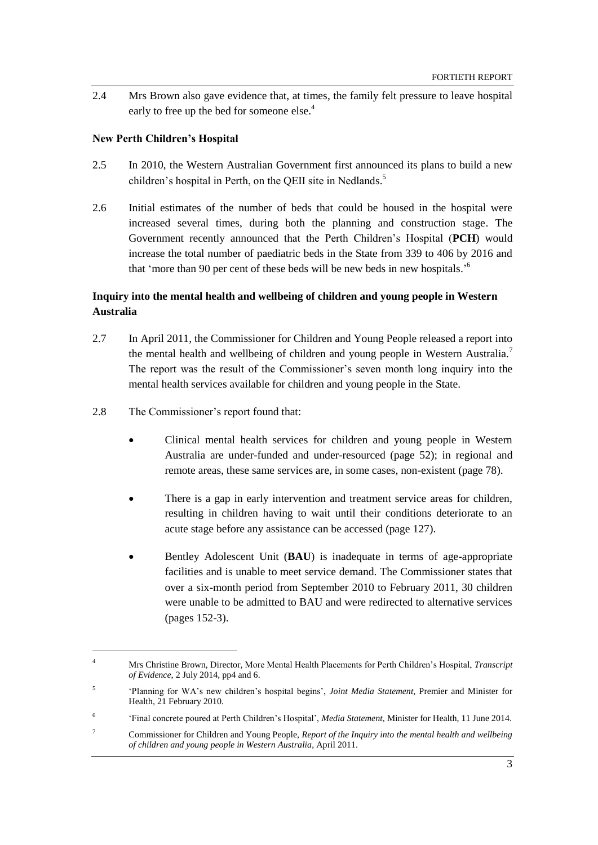2.4 Mrs Brown also gave evidence that, at times, the family felt pressure to leave hospital early to free up the bed for someone else.<sup>4</sup>

### <span id="page-6-0"></span>**New Perth Children's Hospital**

- 2.5 In 2010, the Western Australian Government first announced its plans to build a new children's hospital in Perth, on the QEII site in Nedlands.<sup>5</sup>
- 2.6 Initial estimates of the number of beds that could be housed in the hospital were increased several times, during both the planning and construction stage. The Government recently announced that the Perth Children"s Hospital (**PCH**) would increase the total number of paediatric beds in the State from 339 to 406 by 2016 and that 'more than 90 per cent of these beds will be new beds in new hospitals.<sup>56</sup>

## <span id="page-6-1"></span>**Inquiry into the mental health and wellbeing of children and young people in Western Australia**

- 2.7 In April 2011, the Commissioner for Children and Young People released a report into the mental health and wellbeing of children and young people in Western Australia.<sup>7</sup> The report was the result of the Commissioner"s seven month long inquiry into the mental health services available for children and young people in the State.
- 2.8 The Commissioner's report found that:

 $\overline{a}$ 

- Clinical mental health services for children and young people in Western Australia are under-funded and under-resourced (page 52); in regional and remote areas, these same services are, in some cases, non-existent (page 78).
- There is a gap in early intervention and treatment service areas for children, resulting in children having to wait until their conditions deteriorate to an acute stage before any assistance can be accessed (page 127).
- Bentley Adolescent Unit (**BAU**) is inadequate in terms of age-appropriate facilities and is unable to meet service demand. The Commissioner states that over a six-month period from September 2010 to February 2011, 30 children were unable to be admitted to BAU and were redirected to alternative services (pages 152-3).

<sup>4</sup> Mrs Christine Brown, Director*,* More Mental Health Placements for Perth Children"s Hospital, *Transcript of Evidence*, 2 July 2014, pp4 and 6.

<sup>5</sup> "Planning for WA"s new children"s hospital begins", *Joint Media Statement*, Premier and Minister for Health, 21 February 2010.

<sup>6</sup> "Final concrete poured at Perth Children"s Hospital", *Media Statement*, Minister for Health, 11 June 2014.

<sup>7</sup> Commissioner for Children and Young People, *Report of the Inquiry into the mental health and wellbeing of children and young people in Western Australia*, April 2011.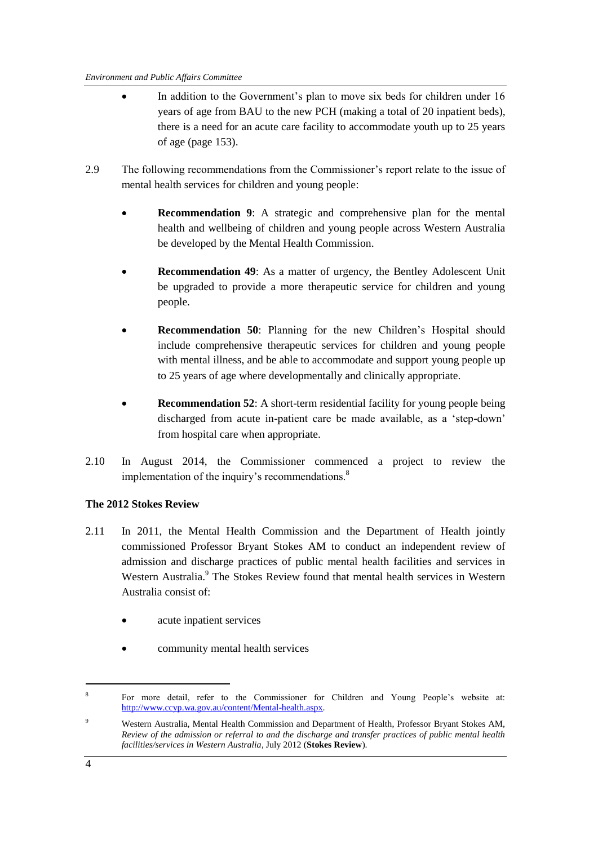- In addition to the Government's plan to move six beds for children under 16 years of age from BAU to the new PCH (making a total of 20 inpatient beds), there is a need for an acute care facility to accommodate youth up to 25 years of age (page 153).
- 2.9 The following recommendations from the Commissioner"s report relate to the issue of mental health services for children and young people:
	- **Recommendation 9**: A strategic and comprehensive plan for the mental health and wellbeing of children and young people across Western Australia be developed by the Mental Health Commission.
	- **Recommendation 49**: As a matter of urgency, the Bentley Adolescent Unit be upgraded to provide a more therapeutic service for children and young people.
	- **Recommendation 50:** Planning for the new Children's Hospital should include comprehensive therapeutic services for children and young people with mental illness, and be able to accommodate and support young people up to 25 years of age where developmentally and clinically appropriate.
	- **Recommendation 52:** A short-term residential facility for young people being discharged from acute in-patient care be made available, as a "step-down" from hospital care when appropriate.
- 2.10 In August 2014, the Commissioner commenced a project to review the implementation of the inquiry's recommendations.<sup>8</sup>

## <span id="page-7-0"></span>**The 2012 Stokes Review**

- 2.11 In 2011, the Mental Health Commission and the Department of Health jointly commissioned Professor Bryant Stokes AM to conduct an independent review of admission and discharge practices of public mental health facilities and services in Western Australia.<sup>9</sup> The Stokes Review found that mental health services in Western Australia consist of:
	- acute inpatient services
	- community mental health services

-

<sup>8</sup> For more detail, refer to the Commissioner for Children and Young People"s website at: [http://www.ccyp.wa.gov.au/content/Mental-health.aspx.](http://www.ccyp.wa.gov.au/content/Mental-health.aspx) 

<sup>9</sup> Western Australia, Mental Health Commission and Department of Health, Professor Bryant Stokes AM, *Review of the admission or referral to and the discharge and transfer practices of public mental health facilities/services in Western Australia*, July 2012 (**Stokes Review**).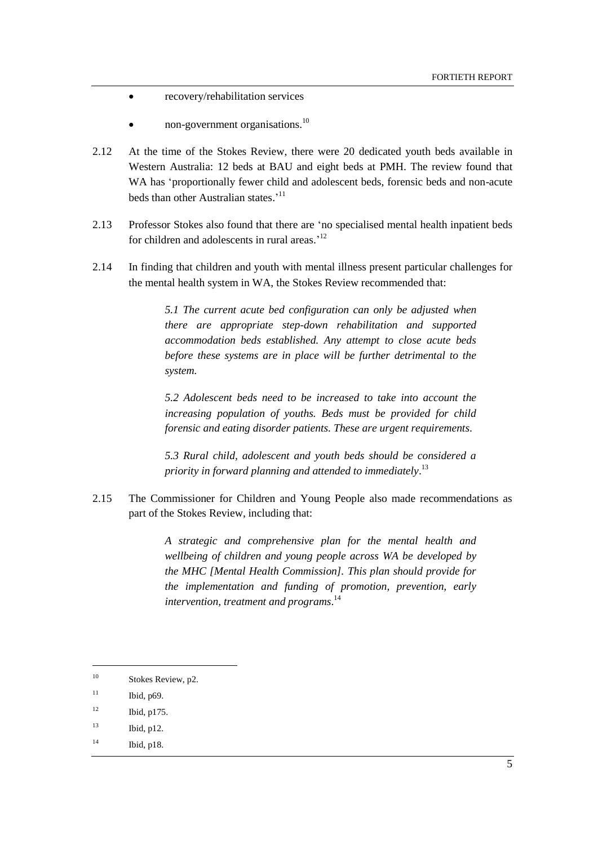- recovery/rehabilitation services
- non-government organisations.<sup>10</sup>
- 2.12 At the time of the Stokes Review, there were 20 dedicated youth beds available in Western Australia: 12 beds at BAU and eight beds at PMH. The review found that WA has "proportionally fewer child and adolescent beds, forensic beds and non-acute beds than other Australian states.<sup>'11</sup>
- 2.13 Professor Stokes also found that there are "no specialised mental health inpatient beds for children and adolescents in rural areas.<sup>12</sup>
- <span id="page-8-0"></span>2.14 In finding that children and youth with mental illness present particular challenges for the mental health system in WA, the Stokes Review recommended that:

*5.1 The current acute bed configuration can only be adjusted when there are appropriate step-down rehabilitation and supported accommodation beds established. Any attempt to close acute beds before these systems are in place will be further detrimental to the system.*

*5.2 Adolescent beds need to be increased to take into account the increasing population of youths. Beds must be provided for child forensic and eating disorder patients. These are urgent requirements.*

*5.3 Rural child, adolescent and youth beds should be considered a priority in forward planning and attended to immediately*. 13

2.15 The Commissioner for Children and Young People also made recommendations as part of the Stokes Review, including that:

> *A strategic and comprehensive plan for the mental health and wellbeing of children and young people across WA be developed by the MHC [Mental Health Commission]. This plan should provide for the implementation and funding of promotion, prevention, early intervention, treatment and programs*. 14

 $\overline{\phantom{a}}$ 

<sup>14</sup> Ibid, p18.

<sup>&</sup>lt;sup>10</sup> Stokes Review, p2.

 $11$  Ibid, p69.

 $12$  Ibid, p175.

<sup>13</sup> Ibid, p12.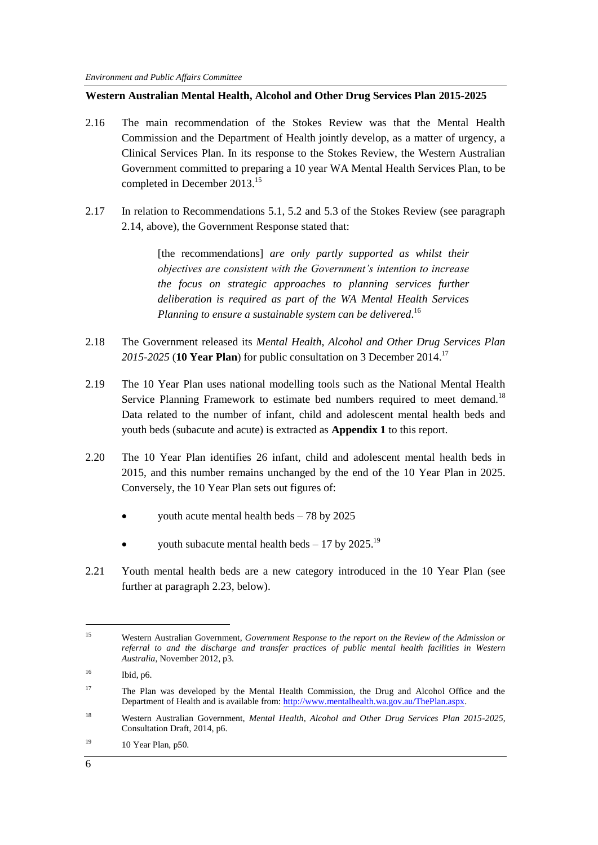### <span id="page-9-0"></span>**Western Australian Mental Health, Alcohol and Other Drug Services Plan 2015-2025**

- 2.16 The main recommendation of the Stokes Review was that the Mental Health Commission and the Department of Health jointly develop, as a matter of urgency, a Clinical Services Plan. In its response to the Stokes Review, the Western Australian Government committed to preparing a 10 year WA Mental Health Services Plan, to be completed in December 2013. 15
- 2.17 In relation to Recommendations 5.1, 5.2 and 5.3 of the Stokes Review (see paragraph [2.14,](#page-8-0) above), the Government Response stated that:

[the recommendations] *are only partly supported as whilst their objectives are consistent with the Government's intention to increase the focus on strategic approaches to planning services further deliberation is required as part of the WA Mental Health Services*  Planning to ensure a sustainable system can be delivered.<sup>16</sup>

- 2.18 The Government released its *Mental Health, Alcohol and Other Drug Services Plan 2015-2025* (**10 Year Plan**) for public consultation on 3 December 2014. 17
- 2.19 The 10 Year Plan uses national modelling tools such as the National Mental Health Service Planning Framework to estimate bed numbers required to meet demand.<sup>18</sup> Data related to the number of infant, child and adolescent mental health beds and youth beds (subacute and acute) is extracted as **Appendix 1** to this report.
- <span id="page-9-1"></span>2.20 The 10 Year Plan identifies 26 infant, child and adolescent mental health beds in 2015, and this number remains unchanged by the end of the 10 Year Plan in 2025. Conversely, the 10 Year Plan sets out figures of:
	- youth acute mental health beds 78 by 2025
	- youth subacute mental health beds  $-17$  by 2025.<sup>19</sup>
- 2.21 Youth mental health beds are a new category introduced in the 10 Year Plan (see further at paragraph [2.23,](#page-10-2) below).

<sup>15</sup> Western Australian Government, *Government Response to the report on the Review of the Admission or referral to and the discharge and transfer practices of public mental health facilities in Western Australia*, November 2012, p3.

<sup>16</sup> Ibid, p6.

<sup>&</sup>lt;sup>17</sup> The Plan was developed by the Mental Health Commission, the Drug and Alcohol Office and the Department of Health and is available from: [http://www.mentalhealth.wa.gov.au/ThePlan.aspx.](http://www.mentalhealth.wa.gov.au/ThePlan.aspx)

<sup>18</sup> Western Australian Government, *Mental Health, Alcohol and Other Drug Services Plan 2015-2025*, Consultation Draft, 2014, p6.

 $19$  10 Year Plan, p50.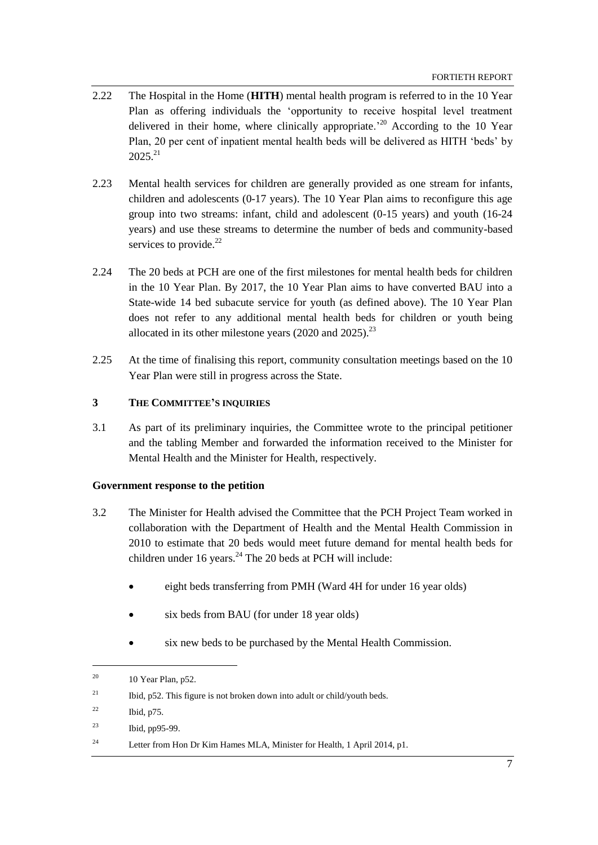- 2.22 The Hospital in the Home (**HITH**) mental health program is referred to in the 10 Year Plan as offering individuals the "opportunity to receive hospital level treatment delivered in their home, where clinically appropriate.<sup>20</sup> According to the 10 Year Plan, 20 per cent of inpatient mental health beds will be delivered as HITH "beds" by  $2025^{21}$
- <span id="page-10-2"></span>2.23 Mental health services for children are generally provided as one stream for infants, children and adolescents (0-17 years). The 10 Year Plan aims to reconfigure this age group into two streams: infant, child and adolescent (0-15 years) and youth (16-24 years) and use these streams to determine the number of beds and community-based services to provide. $^{22}$
- 2.24 The 20 beds at PCH are one of the first milestones for mental health beds for children in the 10 Year Plan. By 2017, the 10 Year Plan aims to have converted BAU into a State-wide 14 bed subacute service for youth (as defined above). The 10 Year Plan does not refer to any additional mental health beds for children or youth being allocated in its other milestone years  $(2020 \text{ and } 2025)^{23}$
- 2.25 At the time of finalising this report, community consultation meetings based on the 10 Year Plan were still in progress across the State.

## <span id="page-10-0"></span>**3 THE COMMITTEE'S INQUIRIES**

3.1 As part of its preliminary inquiries, the Committee wrote to the principal petitioner and the tabling Member and forwarded the information received to the Minister for Mental Health and the Minister for Health, respectively.

### <span id="page-10-1"></span>**Government response to the petition**

- 3.2 The Minister for Health advised the Committee that the PCH Project Team worked in collaboration with the Department of Health and the Mental Health Commission in 2010 to estimate that 20 beds would meet future demand for mental health beds for children under  $16$  years.<sup>24</sup> The 20 beds at PCH will include:
	- eight beds transferring from PMH (Ward 4H for under 16 year olds)
	- six beds from BAU (for under 18 year olds)
	- six new beds to be purchased by the Mental Health Commission.

 $^{20}$  10 Year Plan, p52.

<sup>&</sup>lt;sup>21</sup> Ibid, p52. This figure is not broken down into adult or child/youth beds.

 $^{22}$  Ibid, p75.

<sup>23</sup> Ibid, pp95-99.

<sup>&</sup>lt;sup>24</sup> Letter from Hon Dr Kim Hames MLA, Minister for Health, 1 April 2014, p1.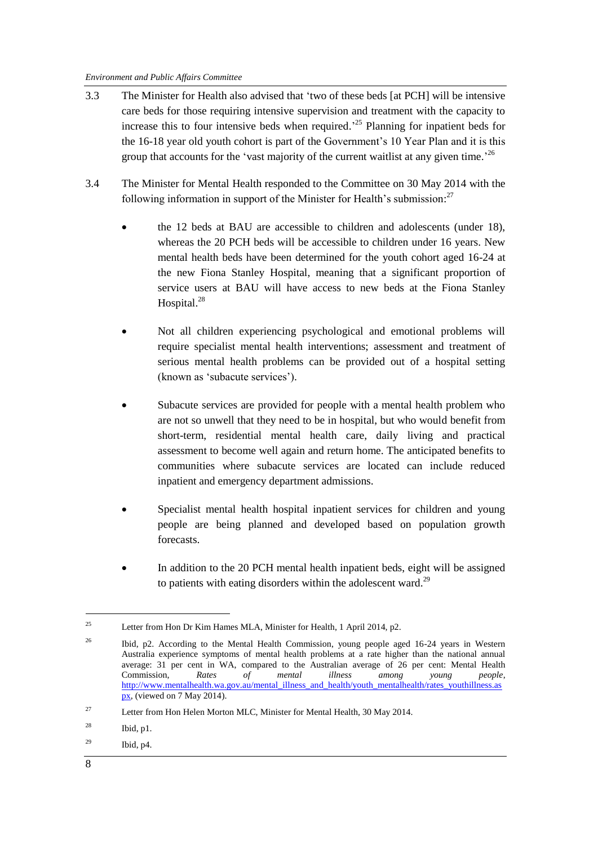- 3.3 The Minister for Health also advised that "two of these beds [at PCH] will be intensive care beds for those requiring intensive supervision and treatment with the capacity to increase this to four intensive beds when required.<sup>25</sup> Planning for inpatient beds for the 16-18 year old youth cohort is part of the Government's 10 Year Plan and it is this group that accounts for the 'vast majority of the current waitlist at any given time.<sup>26</sup>
- 3.4 The Minister for Mental Health responded to the Committee on 30 May 2014 with the following information in support of the Minister for Health's submission: $^{27}$ 
	- the 12 beds at BAU are accessible to children and adolescents (under 18), whereas the 20 PCH beds will be accessible to children under 16 years. New mental health beds have been determined for the youth cohort aged 16-24 at the new Fiona Stanley Hospital, meaning that a significant proportion of service users at BAU will have access to new beds at the Fiona Stanley Hospital.<sup>28</sup>
	- Not all children experiencing psychological and emotional problems will require specialist mental health interventions; assessment and treatment of serious mental health problems can be provided out of a hospital setting (known as 'subacute services').
	- Subacute services are provided for people with a mental health problem who are not so unwell that they need to be in hospital, but who would benefit from short-term, residential mental health care, daily living and practical assessment to become well again and return home. The anticipated benefits to communities where subacute services are located can include reduced inpatient and emergency department admissions.
	- Specialist mental health hospital inpatient services for children and young people are being planned and developed based on population growth forecasts.
	- In addition to the 20 PCH mental health inpatient beds, eight will be assigned to patients with eating disorders within the adolescent ward.<sup>29</sup>

-

<sup>&</sup>lt;sup>25</sup> Letter from Hon Dr Kim Hames MLA, Minister for Health, 1 April 2014, p2.

<sup>&</sup>lt;sup>26</sup> Ibid, p2. According to the Mental Health Commission, young people aged 16-24 years in Western Australia experience symptoms of mental health problems at a rate higher than the national annual average: 31 per cent in WA, compared to the Australian average of 26 per cent: Mental Health Commission, *Rates of mental illness among young people*, [http://www.mentalhealth.wa.gov.au/mental\\_illness\\_and\\_health/youth\\_mentalhealth/rates\\_youthillness.as](http://www.mentalhealth.wa.gov.au/mental_illness_and_health/youth_mentalhealth/rates_youthillness.aspx) [px,](http://www.mentalhealth.wa.gov.au/mental_illness_and_health/youth_mentalhealth/rates_youthillness.aspx) (viewed on 7 May 2014).

<sup>&</sup>lt;sup>27</sup> Letter from Hon Helen Morton MLC, Minister for Mental Health, 30 May 2014.

 $^{28}$  Ibid, p1.

 $^{29}$  Ibid, p4.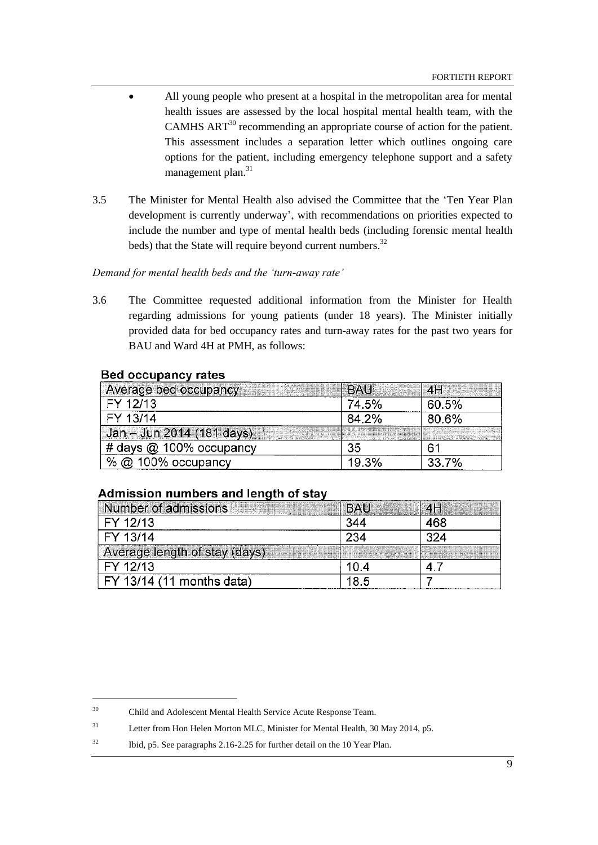- All young people who present at a hospital in the metropolitan area for mental health issues are assessed by the local hospital mental health team, with the CAMHS ART<sup>30</sup> recommending an appropriate course of action for the patient. This assessment includes a separation letter which outlines ongoing care options for the patient, including emergency telephone support and a safety management plan.<sup>31</sup>
- 3.5 The Minister for Mental Health also advised the Committee that the "Ten Year Plan development is currently underway", with recommendations on priorities expected to include the number and type of mental health beds (including forensic mental health beds) that the State will require beyond current numbers.<sup>32</sup>

## <span id="page-12-0"></span>*Demand for mental health beds and the 'turn-away rate'*

3.6 The Committee requested additional information from the Minister for Health regarding admissions for young patients (under 18 years). The Minister initially provided data for bed occupancy rates and turn-away rates for the past two years for BAU and Ward 4H at PMH, as follows:

## **Bed occupancy rates**

l

| Average bed occupancy     | <b>BAU</b> | 4H    |
|---------------------------|------------|-------|
| FY 12/13                  | 74.5%      | 60.5% |
| FY 13/14                  | 84.2%      | 80.6% |
| Jan - Jun 2014 (181 days) |            |       |
| # days @ 100% occupancy   | 35         | 61    |
| 100% occupancy            | 19.3%      | 33.7% |

## Admission numbers and length of stay

| Number of admissions          | <b>BAU</b> | 4H |
|-------------------------------|------------|----|
| FY 12/13                      | 344        |    |
| FY 13/14                      | 234        |    |
| Average length of stay (days) |            |    |
| FY 12/13                      | 10 A       |    |
| FY 13/14 (11 months data)     | 85         |    |

<sup>30</sup> Child and Adolescent Mental Health Service Acute Response Team.

<sup>&</sup>lt;sup>31</sup> Letter from Hon Helen Morton MLC, Minister for Mental Health, 30 May 2014, p5.

<sup>&</sup>lt;sup>32</sup> Ibid, p5. See paragraphs 2.16-2.25 for further detail on the 10 Year Plan.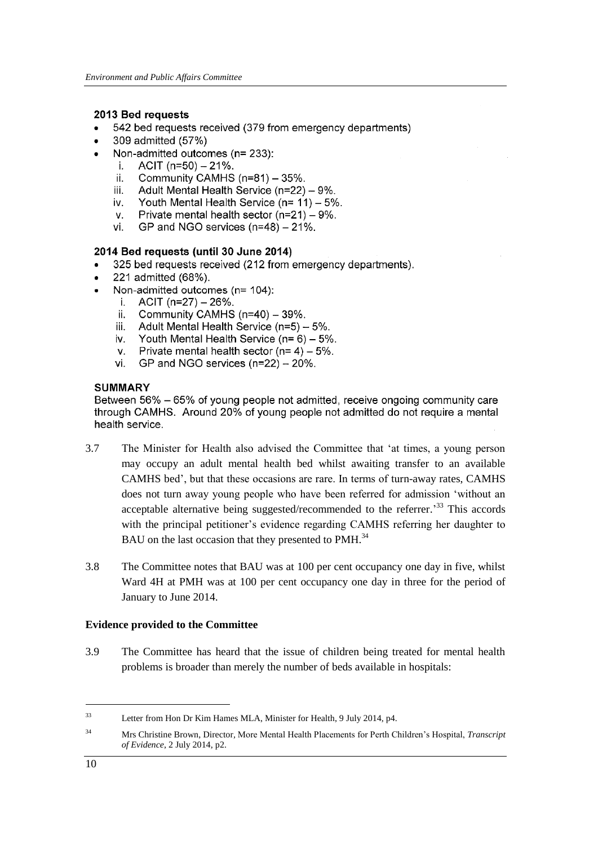### 2013 Bed requests

- 542 bed requests received (379 from emergency departments)
- 309 admitted (57%)
- Non-admitted outcomes (n= 233):
	- $ACIT$  (n=50)  $-21\%$ .  $\mathbf{i}$
	- ii. Community CAMHS (n=81) - 35%.
	- Adult Mental Health Service (n=22) 9%. iii.
	- Youth Mental Health Service ( $n = 11$ ) 5%. iv.
	- v. Private mental health sector  $(n=21) - 9\%$ .
	- GP and NGO services  $(n=48) 21\%$ . vi.

## 2014 Bed reauests (until 30 June 2014)

- 325 bed requests received (212 from emergency departments).
- 221 admitted (68%).
- Non-admitted outcomes (n= 104):
	- $ACIT$  (n=27)  $-26%$ . i.
	- Community CAMHS (n=40) 39%. ii.
	- iii. Adult Mental Health Service (n=5) - 5%.
	- Youth Mental Health Service  $(n=6) 5\%$ . iv.
	- Private mental health sector ( $n=4$ ) 5%.  $V_{\tau}$
	- GP and NGO services  $(n=22) 20\%$ . vi.

## **SUMMARY**

Between 56% – 65% of young people not admitted, receive ongoing community care through CAMHS. Around 20% of young people not admitted do not require a mental health service.

- 3.7 The Minister for Health also advised the Committee that "at times, a young person may occupy an adult mental health bed whilst awaiting transfer to an available CAMHS bed", but that these occasions are rare. In terms of turn-away rates, CAMHS does not turn away young people who have been referred for admission "without an acceptable alternative being suggested/recommended to the referrer.<sup>33</sup> This accords with the principal petitioner's evidence regarding CAMHS referring her daughter to BAU on the last occasion that they presented to PMH.<sup>34</sup>
- 3.8 The Committee notes that BAU was at 100 per cent occupancy one day in five, whilst Ward 4H at PMH was at 100 per cent occupancy one day in three for the period of January to June 2014.

### <span id="page-13-0"></span>**Evidence provided to the Committee**

3.9 The Committee has heard that the issue of children being treated for mental health problems is broader than merely the number of beds available in hospitals:

<sup>33</sup> Letter from Hon Dr Kim Hames MLA, Minister for Health, 9 July 2014, p4.

<sup>34</sup> Mrs Christine Brown, Director*,* More Mental Health Placements for Perth Children"s Hospital, *Transcript of Evidence*, 2 July 2014, p2.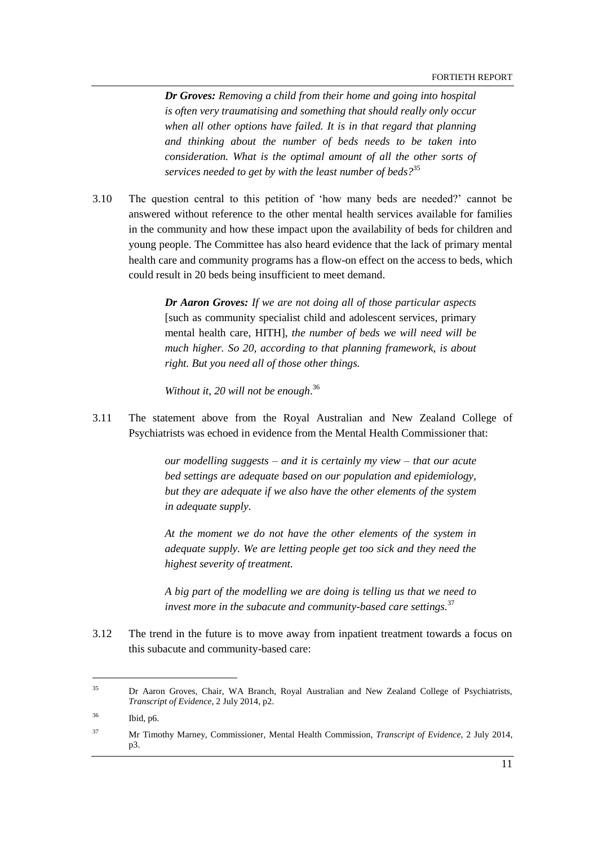FORTIETH REPORT

*Dr Groves: Removing a child from their home and going into hospital is often very traumatising and something that should really only occur when all other options have failed. It is in that regard that planning and thinking about the number of beds needs to be taken into consideration. What is the optimal amount of all the other sorts of services needed to get by with the least number of beds?*<sup>35</sup>

3.10 The question central to this petition of "how many beds are needed?" cannot be answered without reference to the other mental health services available for families in the community and how these impact upon the availability of beds for children and young people. The Committee has also heard evidence that the lack of primary mental health care and community programs has a flow-on effect on the access to beds, which could result in 20 beds being insufficient to meet demand.

> *Dr Aaron Groves: If we are not doing all of those particular aspects*  [such as community specialist child and adolescent services, primary mental health care, HITH], *the number of beds we will need will be much higher. So 20, according to that planning framework, is about right. But you need all of those other things.*

*Without it, 20 will not be enough*. 36

3.11 The statement above from the Royal Australian and New Zealand College of Psychiatrists was echoed in evidence from the Mental Health Commissioner that:

> *our modelling suggests – and it is certainly my view – that our acute bed settings are adequate based on our population and epidemiology, but they are adequate if we also have the other elements of the system in adequate supply*.

> *At the moment we do not have the other elements of the system in adequate supply. We are letting people get too sick and they need the highest severity of treatment.*

> *A big part of the modelling we are doing is telling us that we need to invest more in the subacute and community-based care settings.*<sup>37</sup>

3.12 The trend in the future is to move away from inpatient treatment towards a focus on this subacute and community-based care:

<sup>35</sup> Dr Aaron Groves, Chair, WA Branch, Royal Australian and New Zealand College of Psychiatrists, *Transcript of Evidence*, 2 July 2014, p2.

<sup>36</sup> Ibid, p6.

<sup>37</sup> Mr Timothy Marney, Commissioner*,* Mental Health Commission, *Transcript of Evidence*, 2 July 2014, p3.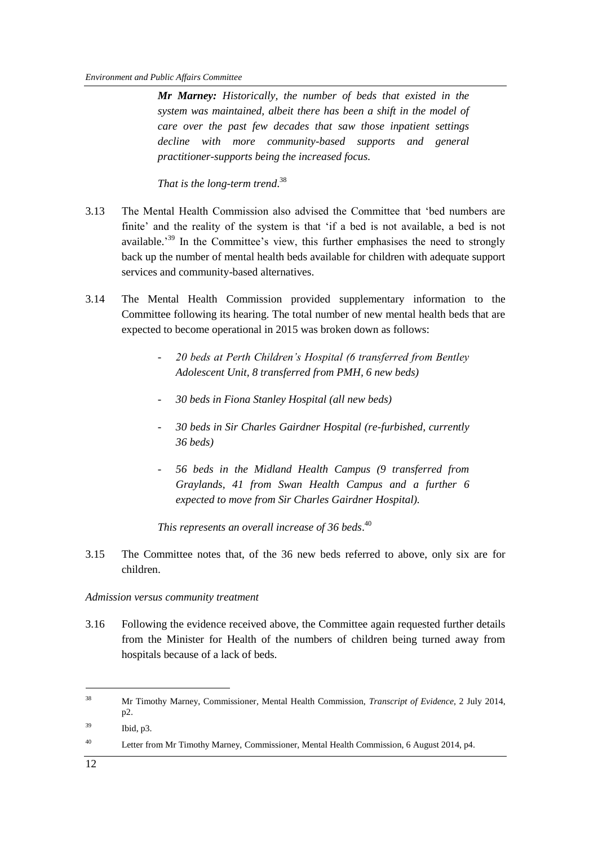*Mr Marney: Historically, the number of beds that existed in the system was maintained, albeit there has been a shift in the model of care over the past few decades that saw those inpatient settings decline with more community-based supports and general practitioner-supports being the increased focus.* 

*That is the long-term trend*. 38

- 3.13 The Mental Health Commission also advised the Committee that "bed numbers are finite' and the reality of the system is that 'if a bed is not available, a bed is not available.<sup>39</sup> In the Committee's view, this further emphasises the need to strongly back up the number of mental health beds available for children with adequate support services and community-based alternatives.
- 3.14 The Mental Health Commission provided supplementary information to the Committee following its hearing. The total number of new mental health beds that are expected to become operational in 2015 was broken down as follows:
	- *20 beds at Perth Children's Hospital (6 transferred from Bentley Adolescent Unit, 8 transferred from PMH, 6 new beds)*
	- *30 beds in Fiona Stanley Hospital (all new beds)*
	- *30 beds in Sir Charles Gairdner Hospital (re-furbished, currently 36 beds)*
	- *56 beds in the Midland Health Campus (9 transferred from Graylands, 41 from Swan Health Campus and a further 6 expected to move from Sir Charles Gairdner Hospital).*

*This represents an overall increase of 36 beds*. 40

3.15 The Committee notes that, of the 36 new beds referred to above, only six are for children.

## <span id="page-15-0"></span>*Admission versus community treatment*

3.16 Following the evidence received above, the Committee again requested further details from the Minister for Health of the numbers of children being turned away from hospitals because of a lack of beds.

<sup>38</sup> Mr Timothy Marney, Commissioner*,* Mental Health Commission, *Transcript of Evidence*, 2 July 2014, p2.

<sup>39</sup> Ibid, p3.

<sup>&</sup>lt;sup>40</sup> Letter from Mr Timothy Marney, Commissioner, Mental Health Commission, 6 August 2014, p4.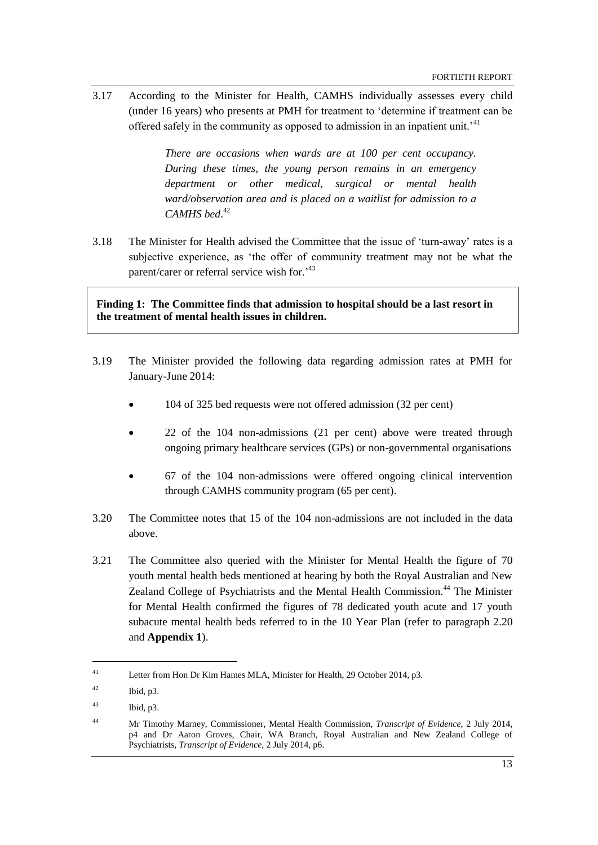3.17 According to the Minister for Health, CAMHS individually assesses every child (under 16 years) who presents at PMH for treatment to "determine if treatment can be offered safely in the community as opposed to admission in an inpatient unit.<sup>41</sup>

> *There are occasions when wards are at 100 per cent occupancy. During these times, the young person remains in an emergency department or other medical, surgical or mental health ward/observation area and is placed on a waitlist for admission to a CAMHS bed*. 42

3.18 The Minister for Health advised the Committee that the issue of "turn-away" rates is a subjective experience, as "the offer of community treatment may not be what the parent/carer or referral service wish for.<sup>43</sup>

**Finding 1: The Committee finds that admission to hospital should be a last resort in the treatment of mental health issues in children.**

- 3.19 The Minister provided the following data regarding admission rates at PMH for January-June 2014:
	- 104 of 325 bed requests were not offered admission (32 per cent)
	- 22 of the 104 non-admissions (21 per cent) above were treated through ongoing primary healthcare services (GPs) or non-governmental organisations
	- 67 of the 104 non-admissions were offered ongoing clinical intervention through CAMHS community program (65 per cent).
- 3.20 The Committee notes that 15 of the 104 non-admissions are not included in the data above.
- 3.21 The Committee also queried with the Minister for Mental Health the figure of 70 youth mental health beds mentioned at hearing by both the Royal Australian and New Zealand College of Psychiatrists and the Mental Health Commission.<sup>44</sup> The Minister for Mental Health confirmed the figures of 78 dedicated youth acute and 17 youth subacute mental health beds referred to in the 10 Year Plan (refer to paragraph [2.20](#page-9-1) and **Appendix 1**).

<sup>41</sup> Letter from Hon Dr Kim Hames MLA, Minister for Health, 29 October 2014, p3.

 $^{42}$  Ibid, p3.

<sup>43</sup> Ibid, p3.

<sup>44</sup> Mr Timothy Marney, Commissioner*,* Mental Health Commission, *Transcript of Evidence*, 2 July 2014, p4 and Dr Aaron Groves, Chair, WA Branch, Royal Australian and New Zealand College of Psychiatrists, *Transcript of Evidence*, 2 July 2014, p6.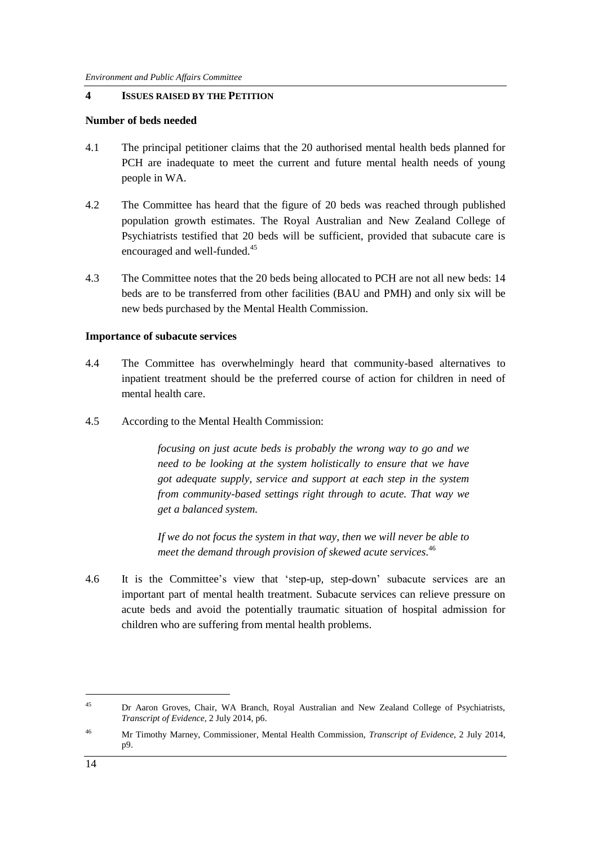## <span id="page-17-0"></span>**4 ISSUES RAISED BY THE PETITION**

#### <span id="page-17-1"></span>**Number of beds needed**

- 4.1 The principal petitioner claims that the 20 authorised mental health beds planned for PCH are inadequate to meet the current and future mental health needs of young people in WA.
- 4.2 The Committee has heard that the figure of 20 beds was reached through published population growth estimates. The Royal Australian and New Zealand College of Psychiatrists testified that 20 beds will be sufficient, provided that subacute care is encouraged and well-funded.<sup>45</sup>
- 4.3 The Committee notes that the 20 beds being allocated to PCH are not all new beds: 14 beds are to be transferred from other facilities (BAU and PMH) and only six will be new beds purchased by the Mental Health Commission.

#### <span id="page-17-2"></span>**Importance of subacute services**

- 4.4 The Committee has overwhelmingly heard that community-based alternatives to inpatient treatment should be the preferred course of action for children in need of mental health care.
- 4.5 According to the Mental Health Commission:

*focusing on just acute beds is probably the wrong way to go and we need to be looking at the system holistically to ensure that we have got adequate supply, service and support at each step in the system from community-based settings right through to acute. That way we get a balanced system.* 

*If we do not focus the system in that way, then we will never be able to meet the demand through provision of skewed acute services.* 46

4.6 It is the Committee"s view that "step-up, step-down" subacute services are an important part of mental health treatment. Subacute services can relieve pressure on acute beds and avoid the potentially traumatic situation of hospital admission for children who are suffering from mental health problems.

<sup>45</sup> Dr Aaron Groves, Chair, WA Branch, Royal Australian and New Zealand College of Psychiatrists, *Transcript of Evidence*, 2 July 2014, p6.

<sup>46</sup> Mr Timothy Marney, Commissioner*,* Mental Health Commission, *Transcript of Evidence*, 2 July 2014, p9.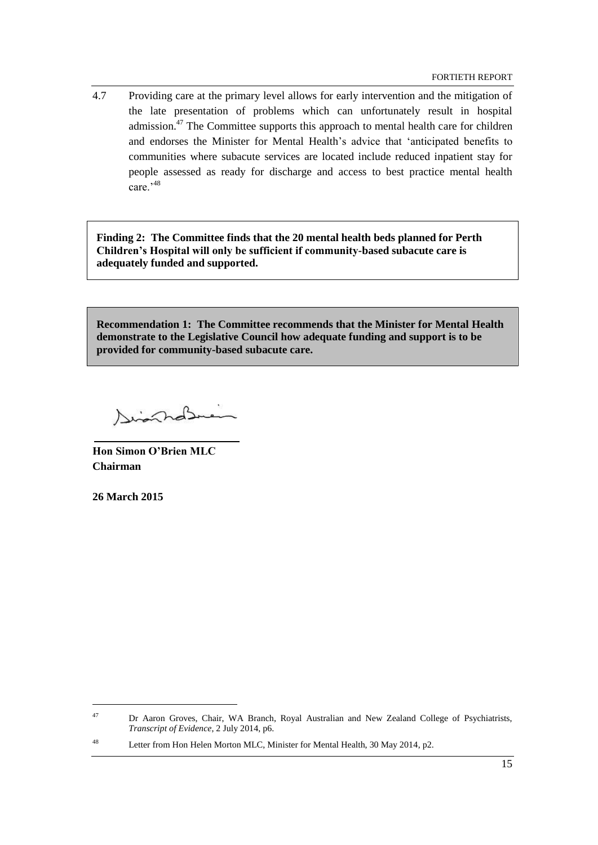4.7 Providing care at the primary level allows for early intervention and the mitigation of the late presentation of problems which can unfortunately result in hospital admission.<sup>47</sup> The Committee supports this approach to mental health care for children and endorses the Minister for Mental Health's advice that 'anticipated benefits to communities where subacute services are located include reduced inpatient stay for people assessed as ready for discharge and access to best practice mental health care<sup>,48</sup>

**Finding 2: The Committee finds that the 20 mental health beds planned for Perth Children's Hospital will only be sufficient if community-based subacute care is adequately funded and supported.**

**Recommendation 1: The Committee recommends that the Minister for Mental Health demonstrate to the Legislative Council how adequate funding and support is to be provided for community-based subacute care.**

Disnahal

**Hon Simon O'Brien MLC Chairman**

**26 March 2015**

<sup>&</sup>lt;sup>47</sup> Dr Aaron Groves, Chair, WA Branch, Royal Australian and New Zealand College of Psychiatrists, *Transcript of Evidence*, 2 July 2014, p6.

<sup>48</sup> Letter from Hon Helen Morton MLC, Minister for Mental Health, 30 May 2014, p2.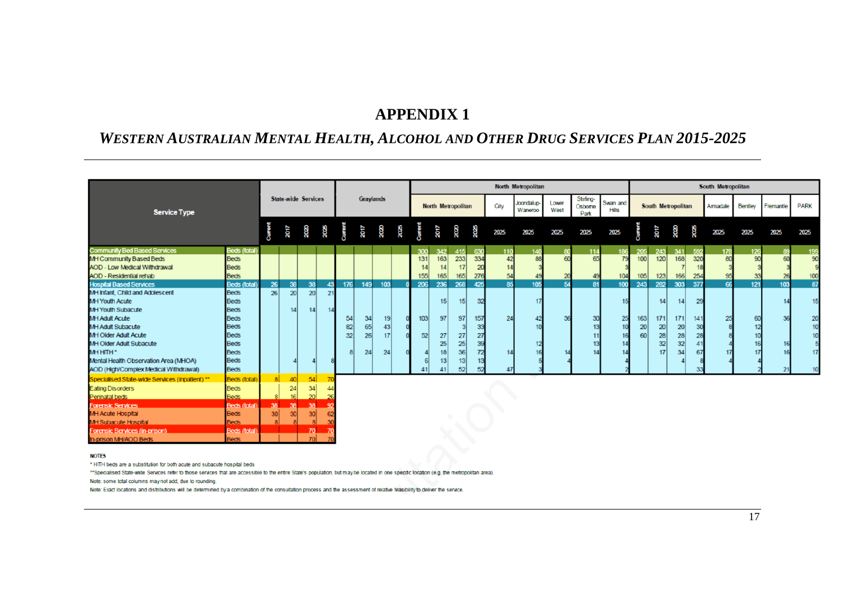## **APPENDIX 1**

# *WESTERN AUSTRALIAN MENTAL HEALTH, ALCOHOL AND OTHER DRUG SERVICES PLAN 2015-2025*

|                                                                                 |  |                 |                            |                 |           |              |                  |                 |      |                    | <b>North Metropolitan</b> |                 |      |                       |               |                              |                          |      |                    | South Metropolitan |      |          |                |           |             |          |  |
|---------------------------------------------------------------------------------|--|-----------------|----------------------------|-----------------|-----------|--------------|------------------|-----------------|------|--------------------|---------------------------|-----------------|------|-----------------------|---------------|------------------------------|--------------------------|------|--------------------|--------------------|------|----------|----------------|-----------|-------------|----------|--|
| <b>Service Type</b>                                                             |  |                 | <b>State-wide Services</b> |                 |           |              | <b>Graylands</b> |                 |      | North Metropolitan |                           |                 | City | Joondalup-<br>Waneroo | Lower<br>West | Stirling-<br>Osborne<br>Park | Swan and<br><b>Hills</b> |      | South Metropolitan |                    |      | Armadale | <b>Bentley</b> | Fremantle | <b>PARK</b> |          |  |
|                                                                                 |  | Current         | 2017                       | 2020            | 2025      | $\mathbf{E}$ | 2017             | 2020            | 2025 | <b>Curren</b>      | 2017                      | 2020            | 2025 | 2025                  | 2025          | 2025                         | 2025                     | 2025 |                    | 2017               | 2020 | 2025     | 2025           | 2025      | 2025        | 2025     |  |
| <b>Community Bed Based Services</b><br><b>Beds (total)</b>                      |  |                 |                            |                 |           |              |                  |                 |      | 300                | 342                       | 415             | 630  | 110                   | 140           |                              | 114                      | 186  | 205                | 243                | 341  | 592      | 178            | 126       | -89         | 199      |  |
| MH Community Based Beds<br><b>Beds</b>                                          |  |                 |                            |                 |           |              |                  |                 |      | 131                | 163                       | 233             | 334  | 42                    | 88            | ഩ                            | 65                       |      | 100 <sup>1</sup>   | 120                | 168  | 320      | 80             | 90        |             | 90       |  |
| <b>AOD - Low Medical Withdrawal</b><br><b>Beds</b>                              |  |                 |                            |                 |           |              |                  |                 |      | 44                 | 14                        | 17              | 20   | 14                    |               |                              |                          |      |                    |                    |      |          |                |           |             |          |  |
| <b>AOD</b> - Residential rehab<br><b>Beds</b>                                   |  |                 |                            |                 |           |              |                  |                 |      | 155                | 165                       | 165             | 276  | 54                    |               |                              |                          | 104  | 105                | 123                | 166  | 254      |                |           |             | 100      |  |
| <b>Hospital Based Services</b><br><b>Beds (total)</b>                           |  | 26              | 38                         | 38              | 43        | 176          | 149              | 103             |      | 206                | 236                       | 268             | 425  | 85                    | 105           | 54                           | 81                       | 100  | 243                | 282                | 303  | 377      | 66             | 121       | 103         | 87       |  |
| <b>Beds</b><br>MH Infant, Child and Adolescent                                  |  | 26 <sup>1</sup> | 20 <sub>2</sub>            | 20 <sub>1</sub> | 21        |              |                  |                 |      |                    |                           |                 |      |                       |               |                              |                          |      |                    |                    |      |          |                |           |             |          |  |
| <b>MH Youth Acute</b><br><b>Beds</b><br><b>MH Youth Subacute</b><br><b>Beds</b> |  |                 | 14                         | 4               |           |              |                  |                 |      |                    | 15                        | 15              | 32   |                       | 17            |                              |                          |      |                    | 14                 | 14   | 29       |                |           |             | 15       |  |
| <b>MH Adult Acute</b><br><b>Beds</b>                                            |  |                 |                            |                 |           |              | 34               | 19 <sup>1</sup> |      | 103                | 97                        | 97              | 157  | 24                    |               |                              | 30                       | 25   | 163                | 171                | 171  | 141      | 25             | 60        |             |          |  |
| <b>Beds</b><br><b>MH Adult Subacute</b>                                         |  |                 |                            |                 |           | 54<br>82     | 65               | 43              |      |                    |                           |                 | 33   |                       |               |                              |                          |      | 20 <sub>1</sub>    | 20                 | 20   |          |                | 12        |             | 20<br>10 |  |
| <b>MH Older Adult Acute</b><br><b>Beds</b>                                      |  |                 |                            |                 |           | 32           | 26               | 17              |      | 52                 | 27                        | 27              | 27   |                       |               |                              |                          |      | 60                 | 28                 | 28   | 28       |                |           |             | 10       |  |
| <b>Beds</b><br>MH Older Adult Subacute                                          |  |                 |                            |                 |           |              |                  |                 |      |                    | 25                        | 25              | 39   |                       | 12            |                              | 13                       |      |                    | 32                 | 32   |          |                |           |             |          |  |
| <b>MHHITH*</b><br><b>Beds</b>                                                   |  |                 |                            |                 |           |              | 24               | 24              |      |                    | 18                        | 36              | 72   |                       |               |                              |                          |      |                    | 17                 | 34   |          |                |           |             | 17       |  |
| <b>Beds</b><br>Mental Health Observation Area (MHOA)                            |  |                 |                            |                 |           |              |                  |                 |      |                    | 13 <sub>1</sub>           | 13 <sup>1</sup> | 13   |                       |               |                              |                          |      |                    |                    |      |          |                |           |             |          |  |
| <b>Beds</b><br>AOD (High/Complex Medical Withdrawal)                            |  |                 |                            |                 |           |              |                  |                 |      |                    |                           | 52              | 52   |                       |               |                              |                          |      |                    |                    |      |          |                |           |             |          |  |
| Specialised State-wide Services (inpatient) **<br><b>Beds</b> (total)           |  | 8 <sup>1</sup>  | 40                         | 54              |           |              |                  |                 |      |                    |                           |                 |      |                       |               |                              |                          |      |                    |                    |      |          |                |           |             |          |  |
| <b>Eating Disorders</b><br><b>Beds</b>                                          |  |                 | 24                         | 34              |           |              |                  |                 |      |                    |                           |                 |      |                       |               |                              |                          |      |                    |                    |      |          |                |           |             |          |  |
| <b>Perinatal beds</b><br><b>Beds</b>                                            |  |                 |                            | 20 <sup>1</sup> |           |              |                  |                 |      |                    |                           |                 |      |                       |               |                              |                          |      |                    |                    |      |          |                |           |             |          |  |
| <b>Forensic Services</b><br><b>Beds (total</b>                                  |  | 38              | 38                         | 38              | <b>QC</b> |              |                  |                 |      |                    |                           |                 |      |                       |               |                              |                          |      |                    |                    |      |          |                |           |             |          |  |
| <b>MH Acute Hospital</b><br><b>Beds</b>                                         |  | 30 I            | 30                         | 30 <sup>1</sup> |           |              |                  |                 |      |                    |                           |                 |      |                       |               |                              |                          |      |                    |                    |      |          |                |           |             |          |  |
| <b>MH Subacute Hospital</b><br><b>Beds</b>                                      |  |                 |                            |                 |           |              |                  |                 |      |                    |                           |                 |      |                       |               |                              |                          |      |                    |                    |      |          |                |           |             |          |  |
| <b>Forensic Services (in-prison)</b><br><b>Beds (total</b>                      |  |                 |                            | 70              |           |              |                  |                 |      |                    |                           |                 |      |                       |               |                              |                          |      |                    |                    |      |          |                |           |             |          |  |
| In-prison MH/AOD Beds<br><b>Beds</b>                                            |  |                 |                            | $\overline{20}$ |           |              |                  |                 |      |                    |                           |                 |      |                       |               |                              |                          |      |                    |                    |      |          |                |           |             |          |  |

#### <span id="page-20-0"></span>**NOTES**

\* HITH beds are a substitution for both acute and subacute hospital beds

\*\*Specialised State-wide Services refer to those services that are accessible to the entire State's population, but may be located in one specific location (e.g. the metropolitan area).

Note: some total columns may not add, due to rounding.

Note: Exact locations and distributions will be determined by a combination of the consultation process and the assessment of relative feasibility to deliver the service.